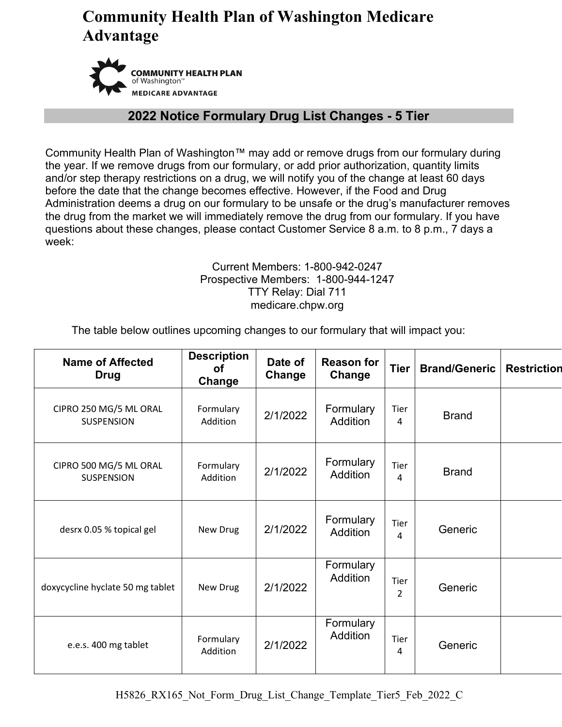

#### **2022 Notice Formulary Drug List Changes - 5 Tier**

Community Health Plan of Washington™ may add or remove drugs from our formulary during the year. If we remove drugs from our formulary, or add prior authorization, quantity limits and/or step therapy restrictions on a drug, we will notify you of the change at least 60 days before the date that the change becomes effective. However, if the Food and Drug Administration deems a drug on our formulary to be unsafe or the drug's manufacturer removes the drug from the market we will immediately remove the drug from our formulary. If you have questions about these changes, please contact Customer Service 8 a.m. to 8 p.m., 7 days a week:

#### Current Members: 1-800-942-0247 Prospective Members: 1-800-944-1247 TTY Relay: Dial 711 medicare.chpw.org

The table below outlines upcoming changes to our formulary that will impact you:

| <b>Name of Affected</b><br><b>Drug</b>      | <b>Description</b><br><b>of</b><br>Change | Date of<br>Change | <b>Reason for</b><br>Change  | <b>Tier</b>            | <b>Brand/Generic</b> | <b>Restriction</b> |
|---------------------------------------------|-------------------------------------------|-------------------|------------------------------|------------------------|----------------------|--------------------|
| CIPRO 250 MG/5 ML ORAL<br><b>SUSPENSION</b> | Formulary<br>Addition                     | 2/1/2022          | Formulary<br>Addition        | Tier<br>4              | <b>Brand</b>         |                    |
| CIPRO 500 MG/5 ML ORAL<br><b>SUSPENSION</b> | Formulary<br>Addition                     | 2/1/2022          | Formulary<br><b>Addition</b> | Tier<br>4              | <b>Brand</b>         |                    |
| desrx 0.05 % topical gel                    | New Drug                                  | 2/1/2022          | Formulary<br><b>Addition</b> | Tier<br>4              | Generic              |                    |
| doxycycline hyclate 50 mg tablet            | New Drug                                  | 2/1/2022          | Formulary<br><b>Addition</b> | Tier<br>$\mathfrak{p}$ | Generic              |                    |
| e.e.s. 400 mg tablet                        | Formulary<br>Addition                     | 2/1/2022          | Formulary<br><b>Addition</b> | Tier<br>4              | Generic              |                    |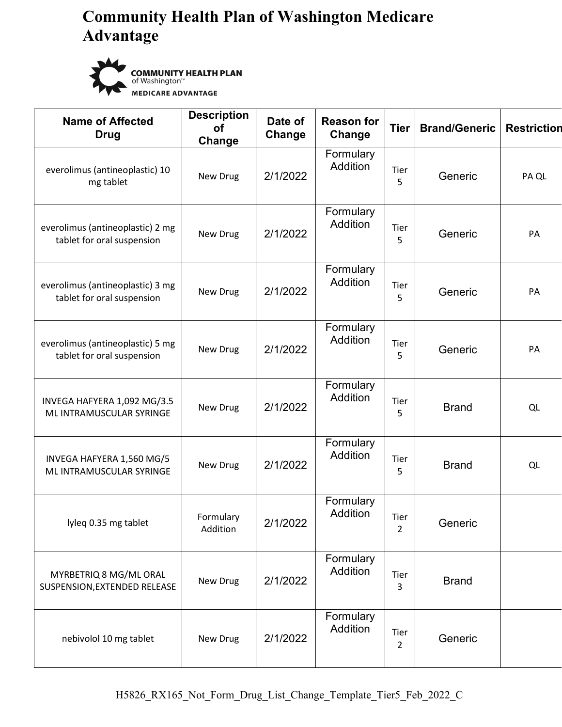

**COMMUNITY HEALTH PLAN** of Washington<sup>"</sup> **MEDICARE ADVANTAGE** 

| <b>Name of Affected</b><br>Drug                                | <b>Description</b><br><b>of</b><br>Change | Date of<br>Change | <b>Reason for</b><br>Change  | <b>Tier</b>            | <b>Brand/Generic</b> | <b>Restriction</b> |
|----------------------------------------------------------------|-------------------------------------------|-------------------|------------------------------|------------------------|----------------------|--------------------|
| everolimus (antineoplastic) 10<br>mg tablet                    | New Drug                                  | 2/1/2022          | Formulary<br>Addition        | Tier<br>5              | Generic              | PA QL              |
| everolimus (antineoplastic) 2 mg<br>tablet for oral suspension | New Drug                                  | 2/1/2022          | Formulary<br>Addition        | Tier<br>5              | Generic              | PA                 |
| everolimus (antineoplastic) 3 mg<br>tablet for oral suspension | New Drug                                  | 2/1/2022          | Formulary<br><b>Addition</b> | Tier<br>5              | Generic              | PA                 |
| everolimus (antineoplastic) 5 mg<br>tablet for oral suspension | New Drug                                  | 2/1/2022          | Formulary<br><b>Addition</b> | Tier<br>5              | Generic              | PA                 |
| INVEGA HAFYERA 1,092 MG/3.5<br>ML INTRAMUSCULAR SYRINGE        | New Drug                                  | 2/1/2022          | Formulary<br><b>Addition</b> | Tier<br>5              | <b>Brand</b>         | QL                 |
| INVEGA HAFYERA 1,560 MG/5<br>ML INTRAMUSCULAR SYRINGE          | New Drug                                  | 2/1/2022          | Formulary<br>Addition        | Tier<br>5              | <b>Brand</b>         | QL                 |
| lyleq 0.35 mg tablet                                           | Formulary<br>Addition                     | 2/1/2022          | Formulary<br><b>Addition</b> | Tier<br>$\overline{2}$ | Generic              |                    |
| MYRBETRIQ 8 MG/ML ORAL<br>SUSPENSION, EXTENDED RELEASE         | New Drug                                  | 2/1/2022          | Formulary<br>Addition        | Tier<br>3              | <b>Brand</b>         |                    |
| nebivolol 10 mg tablet                                         | New Drug                                  | 2/1/2022          | Formulary<br>Addition        | Tier<br>$\overline{2}$ | Generic              |                    |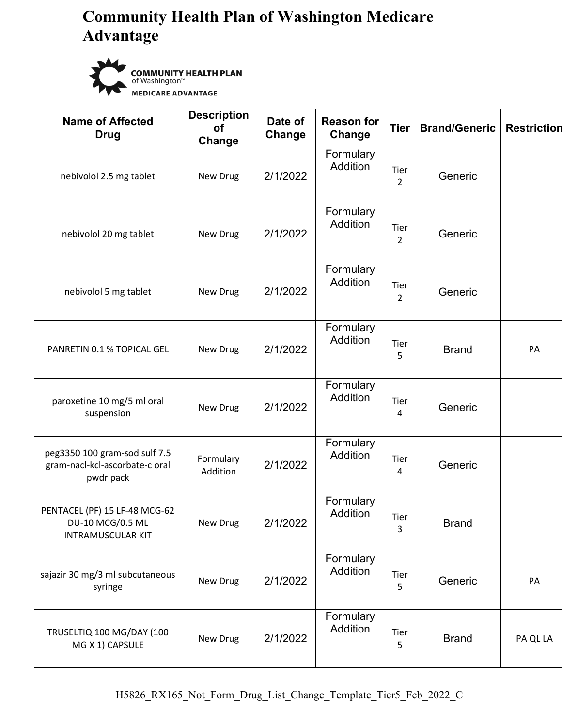

**COMMUNITY HEALTH PLAN** of Washington<sup>"</sup> **MEDICARE ADVANTAGE** 

| <b>Name of Affected</b><br><b>Drug</b>                                        | <b>Description</b><br><b>of</b><br>Change | Date of<br>Change | <b>Reason for</b><br>Change  | <b>Tier</b>            | <b>Brand/Generic</b> | <b>Restriction</b> |
|-------------------------------------------------------------------------------|-------------------------------------------|-------------------|------------------------------|------------------------|----------------------|--------------------|
| nebivolol 2.5 mg tablet                                                       | New Drug                                  | 2/1/2022          | Formulary<br>Addition        | Tier<br>$\overline{2}$ | Generic              |                    |
| nebivolol 20 mg tablet                                                        | New Drug                                  | 2/1/2022          | Formulary<br>Addition        | Tier<br>$\overline{2}$ | Generic              |                    |
| nebivolol 5 mg tablet                                                         | New Drug                                  | 2/1/2022          | Formulary<br>Addition        | Tier<br>$\overline{2}$ | Generic              |                    |
| PANRETIN 0.1 % TOPICAL GEL                                                    | New Drug                                  | 2/1/2022          | Formulary<br><b>Addition</b> | Tier<br>5              | <b>Brand</b>         | PA                 |
| paroxetine 10 mg/5 ml oral<br>suspension                                      | New Drug                                  | 2/1/2022          | Formulary<br>Addition        | Tier<br>4              | Generic              |                    |
| peg3350 100 gram-sod sulf 7.5<br>gram-nacl-kcl-ascorbate-c oral<br>pwdr pack  | Formulary<br>Addition                     | 2/1/2022          | Formulary<br>Addition        | Tier<br>4              | Generic              |                    |
| PENTACEL (PF) 15 LF-48 MCG-62<br>DU-10 MCG/0.5 ML<br><b>INTRAMUSCULAR KIT</b> | New Drug                                  | 2/1/2022          | Formulary<br>Addition        | Tier<br>3              | <b>Brand</b>         |                    |
| sajazir 30 mg/3 ml subcutaneous<br>syringe                                    | New Drug                                  | 2/1/2022          | Formulary<br>Addition        | Tier<br>5.             | Generic              | PA                 |
| TRUSELTIQ 100 MG/DAY (100<br>MG X 1) CAPSULE                                  | New Drug                                  | 2/1/2022          | Formulary<br><b>Addition</b> | Tier<br>5              | <b>Brand</b>         | PA QL LA           |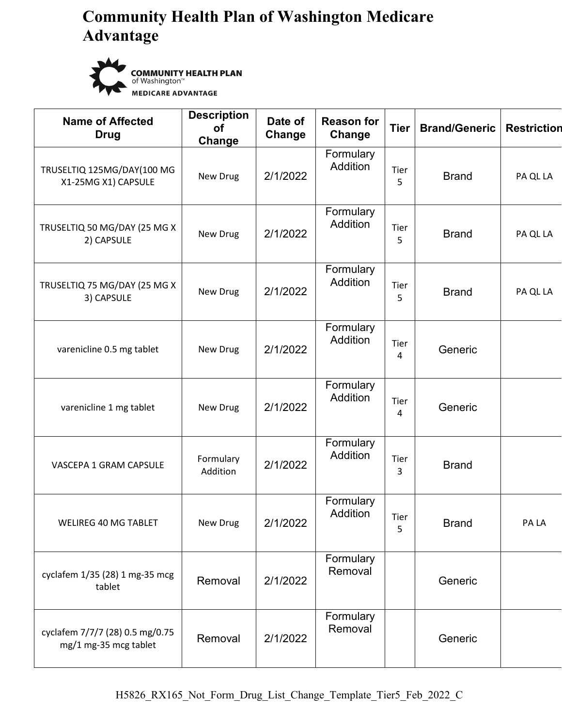

**COMMUNITY HEALTH PLAN** of Washington<sup>"</sup> **MEDICARE ADVANTAGE** 

| <b>Name of Affected</b><br><b>Drug</b>                   | <b>Description</b><br><b>of</b><br>Change | Date of<br>Change | <b>Reason for</b><br>Change  | <b>Tier</b> | <b>Brand/Generic</b> | <b>Restriction</b> |
|----------------------------------------------------------|-------------------------------------------|-------------------|------------------------------|-------------|----------------------|--------------------|
| TRUSELTIQ 125MG/DAY(100 MG<br>X1-25MG X1) CAPSULE        | New Drug                                  | 2/1/2022          | Formulary<br><b>Addition</b> | Tier<br>5   | <b>Brand</b>         | PA QL LA           |
| TRUSELTIQ 50 MG/DAY (25 MG X<br>2) CAPSULE               | New Drug                                  | 2/1/2022          | Formulary<br>Addition        | Tier<br>5   | <b>Brand</b>         | PA QL LA           |
| TRUSELTIQ 75 MG/DAY (25 MG X<br>3) CAPSULE               | New Drug                                  | 2/1/2022          | Formulary<br><b>Addition</b> | Tier<br>5   | <b>Brand</b>         | PA QL LA           |
| varenicline 0.5 mg tablet                                | New Drug                                  | 2/1/2022          | Formulary<br>Addition        | Tier<br>4   | Generic              |                    |
| varenicline 1 mg tablet                                  | New Drug                                  | 2/1/2022          | Formulary<br>Addition        | Tier<br>4   | Generic              |                    |
| VASCEPA 1 GRAM CAPSULE                                   | Formulary<br>Addition                     | 2/1/2022          | Formulary<br>Addition        | Tier<br>3   | <b>Brand</b>         |                    |
| <b>WELIREG 40 MG TABLET</b>                              | New Drug                                  | 2/1/2022          | Formulary<br>Addition        | Tier<br>5   | <b>Brand</b>         | PA LA              |
| cyclafem 1/35 (28) 1 mg-35 mcg<br>tablet                 | Removal                                   | 2/1/2022          | Formulary<br>Removal         |             | Generic              |                    |
| cyclafem 7/7/7 (28) 0.5 mg/0.75<br>mg/1 mg-35 mcg tablet | Removal                                   | 2/1/2022          | Formulary<br>Removal         |             | Generic              |                    |